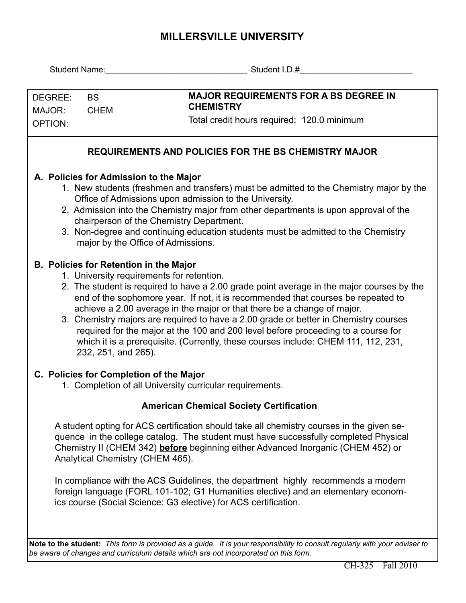## **MILLERSVILLE UNIVERSITY**

|                                                                                                                                                                                                                                                                                                                                                                                                                                                            |                                                                                                                                                                                                                                                                                                                                                                                                                                                                                                                                                                                                                                                  | Student Name: Student I.D.#                                                                                                                                                                                                                                                                               |  |  |  |  |  |  |  |  |  |  |
|------------------------------------------------------------------------------------------------------------------------------------------------------------------------------------------------------------------------------------------------------------------------------------------------------------------------------------------------------------------------------------------------------------------------------------------------------------|--------------------------------------------------------------------------------------------------------------------------------------------------------------------------------------------------------------------------------------------------------------------------------------------------------------------------------------------------------------------------------------------------------------------------------------------------------------------------------------------------------------------------------------------------------------------------------------------------------------------------------------------------|-----------------------------------------------------------------------------------------------------------------------------------------------------------------------------------------------------------------------------------------------------------------------------------------------------------|--|--|--|--|--|--|--|--|--|--|
|                                                                                                                                                                                                                                                                                                                                                                                                                                                            |                                                                                                                                                                                                                                                                                                                                                                                                                                                                                                                                                                                                                                                  |                                                                                                                                                                                                                                                                                                           |  |  |  |  |  |  |  |  |  |  |
| DEGREE:<br><b>BS</b>                                                                                                                                                                                                                                                                                                                                                                                                                                       |                                                                                                                                                                                                                                                                                                                                                                                                                                                                                                                                                                                                                                                  | <b>MAJOR REQUIREMENTS FOR A BS DEGREE IN</b>                                                                                                                                                                                                                                                              |  |  |  |  |  |  |  |  |  |  |
| MAJOR:<br><b>CHEM</b>                                                                                                                                                                                                                                                                                                                                                                                                                                      |                                                                                                                                                                                                                                                                                                                                                                                                                                                                                                                                                                                                                                                  | <b>CHEMISTRY</b>                                                                                                                                                                                                                                                                                          |  |  |  |  |  |  |  |  |  |  |
| OPTION:                                                                                                                                                                                                                                                                                                                                                                                                                                                    |                                                                                                                                                                                                                                                                                                                                                                                                                                                                                                                                                                                                                                                  | Total credit hours required: 120.0 minimum                                                                                                                                                                                                                                                                |  |  |  |  |  |  |  |  |  |  |
|                                                                                                                                                                                                                                                                                                                                                                                                                                                            |                                                                                                                                                                                                                                                                                                                                                                                                                                                                                                                                                                                                                                                  |                                                                                                                                                                                                                                                                                                           |  |  |  |  |  |  |  |  |  |  |
| <b>REQUIREMENTS AND POLICIES FOR THE BS CHEMISTRY MAJOR</b>                                                                                                                                                                                                                                                                                                                                                                                                |                                                                                                                                                                                                                                                                                                                                                                                                                                                                                                                                                                                                                                                  |                                                                                                                                                                                                                                                                                                           |  |  |  |  |  |  |  |  |  |  |
| A. Policies for Admission to the Major<br>1. New students (freshmen and transfers) must be admitted to the Chemistry major by the<br>Office of Admissions upon admission to the University.<br>2. Admission into the Chemistry major from other departments is upon approval of the<br>chairperson of the Chemistry Department.<br>3. Non-degree and continuing education students must be admitted to the Chemistry<br>major by the Office of Admissions. |                                                                                                                                                                                                                                                                                                                                                                                                                                                                                                                                                                                                                                                  |                                                                                                                                                                                                                                                                                                           |  |  |  |  |  |  |  |  |  |  |
|                                                                                                                                                                                                                                                                                                                                                                                                                                                            | <b>B. Policies for Retention in the Major</b><br>1. University requirements for retention.<br>2. The student is required to have a 2.00 grade point average in the major courses by the<br>end of the sophomore year. If not, it is recommended that courses be repeated to<br>achieve a 2.00 average in the major or that there be a change of major.<br>3. Chemistry majors are required to have a 2.00 grade or better in Chemistry courses<br>required for the major at the 100 and 200 level before proceeding to a course for<br>which it is a prerequisite. (Currently, these courses include: CHEM 111, 112, 231,<br>232, 251, and 265). |                                                                                                                                                                                                                                                                                                           |  |  |  |  |  |  |  |  |  |  |
|                                                                                                                                                                                                                                                                                                                                                                                                                                                            | C. Policies for Completion of the Major<br>1. Completion of all University curricular requirements.                                                                                                                                                                                                                                                                                                                                                                                                                                                                                                                                              |                                                                                                                                                                                                                                                                                                           |  |  |  |  |  |  |  |  |  |  |
| <b>American Chemical Society Certification</b>                                                                                                                                                                                                                                                                                                                                                                                                             |                                                                                                                                                                                                                                                                                                                                                                                                                                                                                                                                                                                                                                                  |                                                                                                                                                                                                                                                                                                           |  |  |  |  |  |  |  |  |  |  |
|                                                                                                                                                                                                                                                                                                                                                                                                                                                            |                                                                                                                                                                                                                                                                                                                                                                                                                                                                                                                                                                                                                                                  | A student opting for ACS certification should take all chemistry courses in the given se-<br>quence in the college catalog. The student must have successfully completed Physical<br>Chemistry II (CHEM 342) before beginning either Advanced Inorganic (CHEM 452) or<br>Analytical Chemistry (CHEM 465). |  |  |  |  |  |  |  |  |  |  |
|                                                                                                                                                                                                                                                                                                                                                                                                                                                            |                                                                                                                                                                                                                                                                                                                                                                                                                                                                                                                                                                                                                                                  | In compliance with the ACS Guidelines, the department highly recommends a modern<br>foreign language (FORL 101-102; G1 Humanities elective) and an elementary econom-<br>ics course (Social Science: G3 elective) for ACS certification.                                                                  |  |  |  |  |  |  |  |  |  |  |
| Note to the student: This form is provided as a guide. It is your responsibility to consult regularly with your adviser to<br>be aware of changes and curriculum details which are not incorporated on this form.                                                                                                                                                                                                                                          |                                                                                                                                                                                                                                                                                                                                                                                                                                                                                                                                                                                                                                                  |                                                                                                                                                                                                                                                                                                           |  |  |  |  |  |  |  |  |  |  |